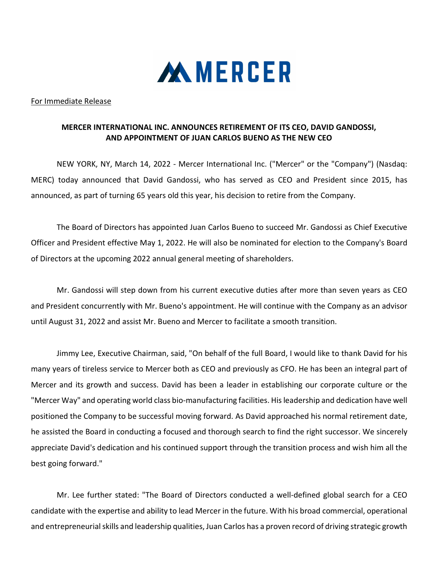

## For Immediate Release

## MERCER INTERNATIONAL INC. ANNOUNCES RETIREMENT OF ITS CEO, DAVID GANDOSSI, AND APPOINTMENT OF JUAN CARLOS BUENO AS THE NEW CEO

NEW YORK, NY, March 14, 2022 - Mercer International Inc. ("Mercer" or the "Company") (Nasdaq: MERC) today announced that David Gandossi, who has served as CEO and President since 2015, has announced, as part of turning 65 years old this year, his decision to retire from the Company.

The Board of Directors has appointed Juan Carlos Bueno to succeed Mr. Gandossi as Chief Executive Officer and President effective May 1, 2022. He will also be nominated for election to the Company's Board of Directors at the upcoming 2022 annual general meeting of shareholders.

Mr. Gandossi will step down from his current executive duties after more than seven years as CEO and President concurrently with Mr. Bueno's appointment. He will continue with the Company as an advisor until August 31, 2022 and assist Mr. Bueno and Mercer to facilitate a smooth transition.

Jimmy Lee, Executive Chairman, said, "On behalf of the full Board, I would like to thank David for his many years of tireless service to Mercer both as CEO and previously as CFO. He has been an integral part of Mercer and its growth and success. David has been a leader in establishing our corporate culture or the "Mercer Way" and operating world class bio-manufacturing facilities. His leadership and dedication have well positioned the Company to be successful moving forward. As David approached his normal retirement date, he assisted the Board in conducting a focused and thorough search to find the right successor. We sincerely appreciate David's dedication and his continued support through the transition process and wish him all the best going forward."

Mr. Lee further stated: "The Board of Directors conducted a well-defined global search for a CEO candidate with the expertise and ability to lead Mercer in the future. With his broad commercial, operational and entrepreneurial skills and leadership qualities, Juan Carlos has a proven record of driving strategic growth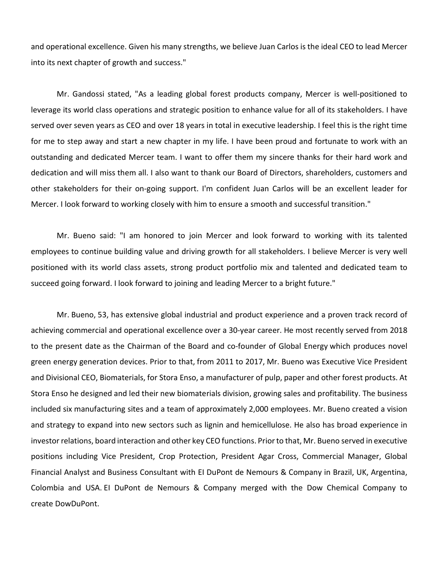and operational excellence. Given his many strengths, we believe Juan Carlos is the ideal CEO to lead Mercer into its next chapter of growth and success."

Mr. Gandossi stated, "As a leading global forest products company, Mercer is well-positioned to leverage its world class operations and strategic position to enhance value for all of its stakeholders. I have served over seven years as CEO and over 18 years in total in executive leadership. I feel this is the right time for me to step away and start a new chapter in my life. I have been proud and fortunate to work with an outstanding and dedicated Mercer team. I want to offer them my sincere thanks for their hard work and dedication and will miss them all. I also want to thank our Board of Directors, shareholders, customers and other stakeholders for their on-going support. I'm confident Juan Carlos will be an excellent leader for Mercer. I look forward to working closely with him to ensure a smooth and successful transition."

Mr. Bueno said: "I am honored to join Mercer and look forward to working with its talented employees to continue building value and driving growth for all stakeholders. I believe Mercer is very well positioned with its world class assets, strong product portfolio mix and talented and dedicated team to succeed going forward. I look forward to joining and leading Mercer to a bright future."

Mr. Bueno, 53, has extensive global industrial and product experience and a proven track record of achieving commercial and operational excellence over a 30-year career. He most recently served from 2018 to the present date as the Chairman of the Board and co-founder of Global Energy which produces novel green energy generation devices. Prior to that, from 2011 to 2017, Mr. Bueno was Executive Vice President and Divisional CEO, Biomaterials, for Stora Enso, a manufacturer of pulp, paper and other forest products. At Stora Enso he designed and led their new biomaterials division, growing sales and profitability. The business included six manufacturing sites and a team of approximately 2,000 employees. Mr. Bueno created a vision and strategy to expand into new sectors such as lignin and hemicellulose. He also has broad experience in investor relations, board interaction and other key CEO functions. Prior to that, Mr. Bueno served in executive positions including Vice President, Crop Protection, President Agar Cross, Commercial Manager, Global Financial Analyst and Business Consultant with EI DuPont de Nemours & Company in Brazil, UK, Argentina, Colombia and USA. EI DuPont de Nemours & Company merged with the Dow Chemical Company to create DowDuPont.